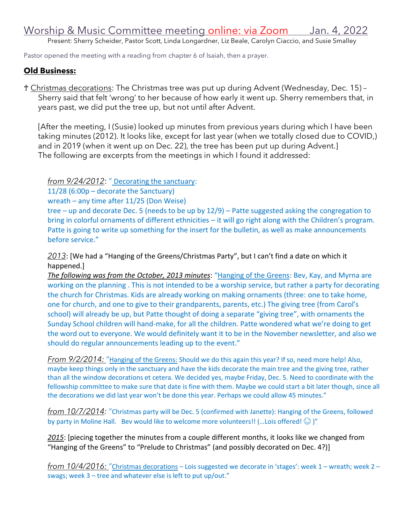Present: Sherry Scheider, Pastor Scott, Linda Longardner, Liz Beale, Carolyn Ciaccio, and Susie Smalley

Pastor opened the meeting with a reading from chapter 6 of Isaiah, then a prayer.

## **Old Business:**

♰ Christmas decorations: The Christmas tree was put up during Advent (Wednesday, Dec. 15) – Sherry said that felt 'wrong' to her because of how early it went up. Sherry remembers that, in years past, we did put the tree up, but not until after Advent.

[After the meeting, I (Susie) looked up minutes from previous years during which I have been taking minutes (2012). It looks like, except for last year (when we totally closed due to COVID,) and in 2019 (when it went up on Dec. 22), the tree has been put up during Advent.] The following are excerpts from the meetings in which I found it addressed:

*from 9/24/2012*: " Decorating the sanctuary:

11/28 (6:00p – decorate the Sanctuary)

wreath – any time after 11/25 (Don Weise)

tree – up and decorate Dec. 5 (needs to be up by 12/9) – Patte suggested asking the congregation to bring in colorful ornaments of different ethnicities – it will go right along with the Children's program. Patte is going to write up something for the insert for the bulletin, as well as make announcements before service."

*2013*: [We had a "Hanging of the Greens/Christmas Party", but I can't find a date on which it happened.]

*The following was from the October, 2013 minutes*: "Hanging of the Greens: Bev, Kay, and Myrna are working on the planning . This is not intended to be a worship service, but rather a party for decorating the church for Christmas. Kids are already working on making ornaments (three: one to take home, one for church, and one to give to their grandparents, parents, etc.) The giving tree (from Carol's school) will already be up, but Patte thought of doing a separate "giving tree", with ornaments the Sunday School children will hand-make, for all the children. Patte wondered what we're doing to get the word out to everyone. We would definitely want it to be in the November newsletter, and also we should do regular announcements leading up to the event."

*From 9/2/2014:* "Hanging of the Greens: Should we do this again this year? If so, need more help! Also, maybe keep things only in the sanctuary and have the kids decorate the main tree and the giving tree, rather than all the window decorations et cetera. We decided yes, maybe Friday, Dec. 5. Need to coordinate with the fellowship committee to make sure that date is fine with them. Maybe we could start a bit later though, since all the decorations we did last year won't be done this year. Perhaps we could allow 45 minutes."

*from 10/7/2014:* "Christmas party will be Dec. 5 (confirmed with Janette): Hanging of the Greens, followed by party in Moline Hall. Bev would like to welcome more volunteers!! (...Lois offered!  $\odot$  )"

*2015*: [piecing together the minutes from a couple different months, it looks like we changed from "Hanging of the Greens" to "Prelude to Christmas" (and possibly decorated on Dec. 4?)]

*from 10/4/2016:* "Christmas decorations – Lois suggested we decorate in 'stages': week 1 – wreath; week 2 – swags; week 3 – tree and whatever else is left to put up/out."